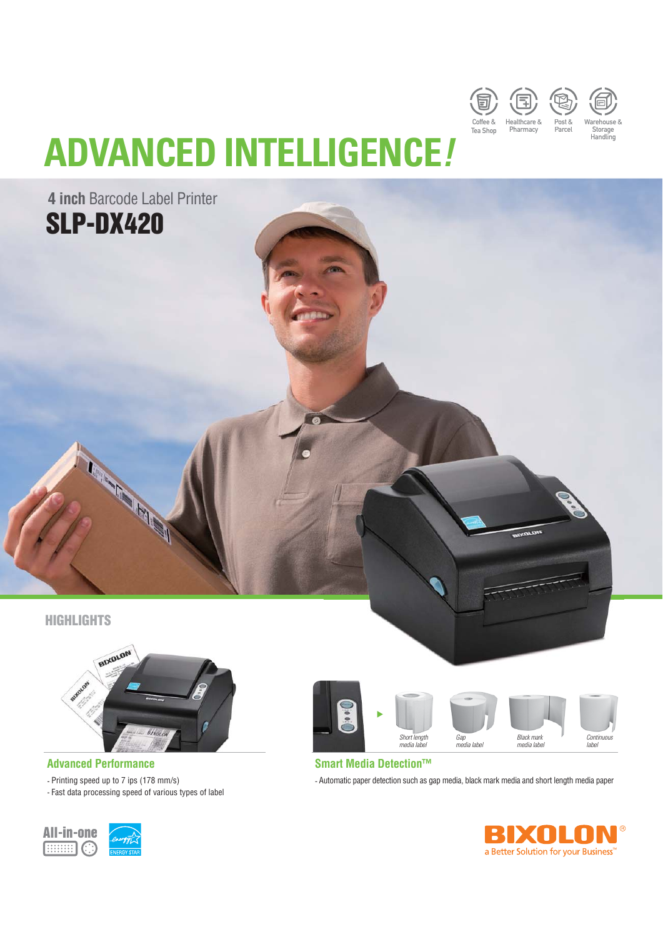



Parcel



# **ADVANCED INTELLIGENCE!**

**4 inch** Barcode Label Printer SLP-DX420





**THE REAL PROPERTY** 

**Advanced Performance** - Printing speed up to 7 ips (178 mm/s) - Fast data processing speed of various types of label





## **Smart Media Detection™**

- Automatic paper detection such as gap media, black mark media and short length media paper